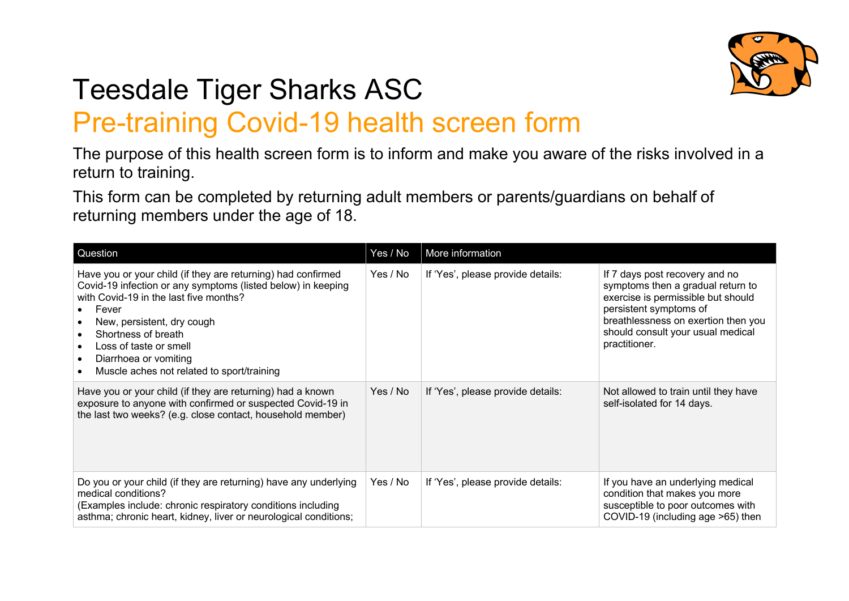

## Teesdale Tiger Sharks ASC Pre-training Covid-19 health screen form

The purpose of this health screen form is to inform and make you aware of the risks involved in a return to training.

This form can be completed by returning adult members or parents/guardians on behalf of returning members under the age of 18.

| Question                                                                                                                                                                                                                                                                                                                                                                                                            | Yes / No | More information                  |                                                                                                                                                                                                                                  |
|---------------------------------------------------------------------------------------------------------------------------------------------------------------------------------------------------------------------------------------------------------------------------------------------------------------------------------------------------------------------------------------------------------------------|----------|-----------------------------------|----------------------------------------------------------------------------------------------------------------------------------------------------------------------------------------------------------------------------------|
| Have you or your child (if they are returning) had confirmed<br>Covid-19 infection or any symptoms (listed below) in keeping<br>with Covid-19 in the last five months?<br>Fever<br>$\bullet$<br>New, persistent, dry cough<br>$\bullet$<br>Shortness of breath<br>$\bullet$<br>Loss of taste or smell<br>$\bullet$<br>Diarrhoea or vomiting<br>$\bullet$<br>Muscle aches not related to sport/training<br>$\bullet$ | Yes / No | If 'Yes', please provide details: | If 7 days post recovery and no<br>symptoms then a gradual return to<br>exercise is permissible but should<br>persistent symptoms of<br>breathlessness on exertion then you<br>should consult your usual medical<br>practitioner. |
| Have you or your child (if they are returning) had a known<br>exposure to anyone with confirmed or suspected Covid-19 in<br>the last two weeks? (e.g. close contact, household member)                                                                                                                                                                                                                              | Yes / No | If 'Yes', please provide details: | Not allowed to train until they have<br>self-isolated for 14 days.                                                                                                                                                               |
| Do you or your child (if they are returning) have any underlying<br>medical conditions?<br>(Examples include: chronic respiratory conditions including<br>asthma; chronic heart, kidney, liver or neurological conditions;                                                                                                                                                                                          | Yes / No | If 'Yes', please provide details: | If you have an underlying medical<br>condition that makes you more<br>susceptible to poor outcomes with<br>COVID-19 (including age >65) then                                                                                     |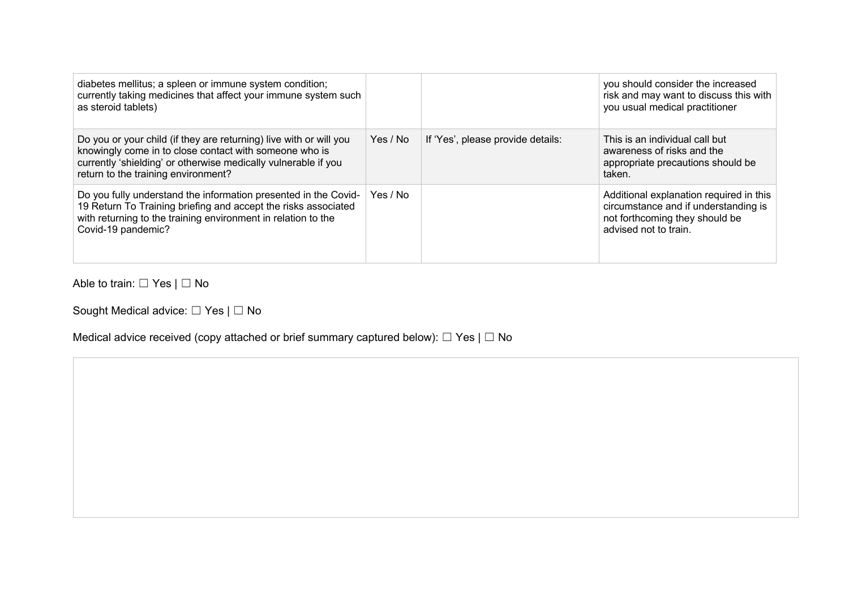| diabetes mellitus; a spleen or immune system condition;<br>currently taking medicines that affect your immune system such<br>as steroid tablets)                                                                                      |          |                                   | you should consider the increased<br>risk and may want to discuss this with<br>you usual medical practitioner                              |
|---------------------------------------------------------------------------------------------------------------------------------------------------------------------------------------------------------------------------------------|----------|-----------------------------------|--------------------------------------------------------------------------------------------------------------------------------------------|
| Do you or your child (if they are returning) live with or will you<br>knowingly come in to close contact with someone who is<br>currently 'shielding' or otherwise medically vulnerable if you<br>return to the training environment? | Yes / No | If 'Yes', please provide details: | This is an individual call but<br>awareness of risks and the<br>appropriate precautions should be<br>taken.                                |
| Do you fully understand the information presented in the Covid-<br>19 Return To Training briefing and accept the risks associated<br>with returning to the training environment in relation to the<br>Covid-19 pandemic?              | Yes / No |                                   | Additional explanation required in this<br>circumstance and if understanding is<br>not forthcoming they should be<br>advised not to train. |

Able to train: □ Yes | □ No

Sought Medical advice: □ Yes | □ No

Medical advice received (copy attached or brief summary captured below):  $\Box$  Yes |  $\Box$  No